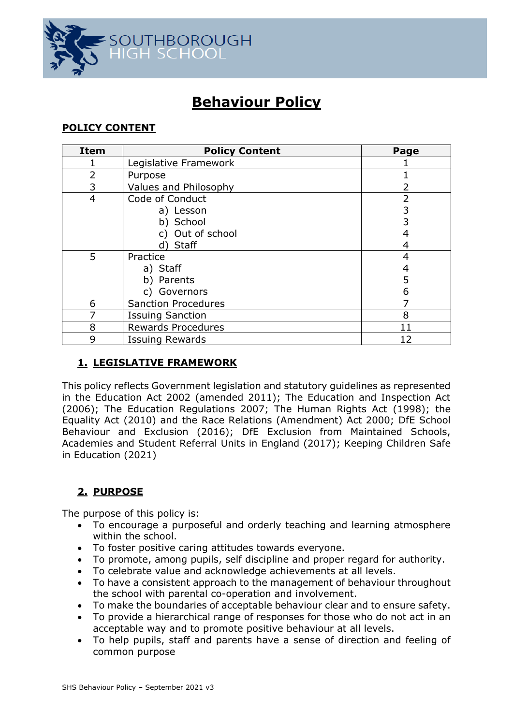

# **Behaviour Policy**

# **POLICY CONTENT**

| <b>Item</b>    | <b>Policy Content</b>      | Page |
|----------------|----------------------------|------|
|                | Legislative Framework      |      |
| $\overline{2}$ | Purpose                    |      |
| 3              | Values and Philosophy      |      |
| $\overline{4}$ | Code of Conduct            | 2    |
|                | a) Lesson                  | 3    |
|                | b) School                  |      |
|                | c) Out of school           |      |
|                | d) Staff                   |      |
| 5              | Practice                   | 4    |
|                | a) Staff                   |      |
|                | b) Parents                 | 5    |
|                | Governors                  | 6    |
| 6              | <b>Sanction Procedures</b> |      |
|                | <b>Issuing Sanction</b>    | 8    |
| 8              | <b>Rewards Procedures</b>  | 11   |
| 9              | <b>Issuing Rewards</b>     | 12   |

# **1. LEGISLATIVE FRAMEWORK**

This policy reflects Government legislation and statutory guidelines as represented in the Education Act 2002 (amended 2011); The Education and Inspection Act (2006); The Education Regulations 2007; The Human Rights Act (1998); the Equality Act (2010) and the Race Relations (Amendment) Act 2000; DfE School Behaviour and Exclusion (2016); DfE Exclusion from Maintained Schools, Academies and Student Referral Units in England (2017); Keeping Children Safe in Education (2021)

# **2. PURPOSE**

The purpose of this policy is:

- To encourage a purposeful and orderly teaching and learning atmosphere within the school.
- To foster positive caring attitudes towards everyone.
- To promote, among pupils, self discipline and proper regard for authority.
- To celebrate value and acknowledge achievements at all levels.
- To have a consistent approach to the management of behaviour throughout the school with parental co-operation and involvement.
- To make the boundaries of acceptable behaviour clear and to ensure safety.
- To provide a hierarchical range of responses for those who do not act in an acceptable way and to promote positive behaviour at all levels.
- To help pupils, staff and parents have a sense of direction and feeling of common purpose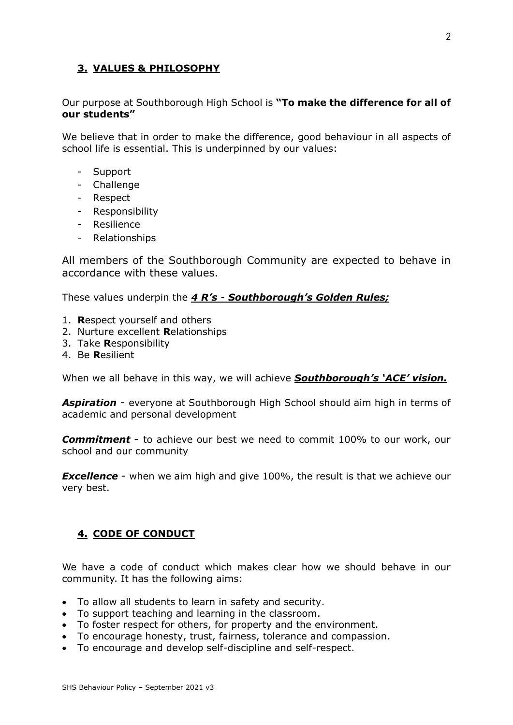# **3. VALUES & PHILOSOPHY**

Our purpose at Southborough High School is **"To make the difference for all of our students"**

We believe that in order to make the difference, good behaviour in all aspects of school life is essential. This is underpinned by our values:

- Support
- Challenge
- Respect
- Responsibility
- Resilience
- Relationships

All members of the Southborough Community are expected to behave in accordance with these values.

These values underpin the *4 R's* - *Southborough's Golden Rules;*

- 1. **R**espect yourself and others
- 2. Nurture excellent **R**elationships
- 3. Take **R**esponsibility
- 4. Be **R**esilient

When we all behave in this way, we will achieve *Southborough's 'ACE' vision.* 

*Aspiration* - everyone at Southborough High School should aim high in terms of academic and personal development

*Commitment* - to achieve our best we need to commit 100% to our work, our school and our community

*Excellence* - when we aim high and give 100%, the result is that we achieve our very best.

# **4. CODE OF CONDUCT**

We have a code of conduct which makes clear how we should behave in our community. It has the following aims:

- To allow all students to learn in safety and security.
- To support teaching and learning in the classroom.
- To foster respect for others, for property and the environment.
- To encourage honesty, trust, fairness, tolerance and compassion.
- To encourage and develop self-discipline and self-respect.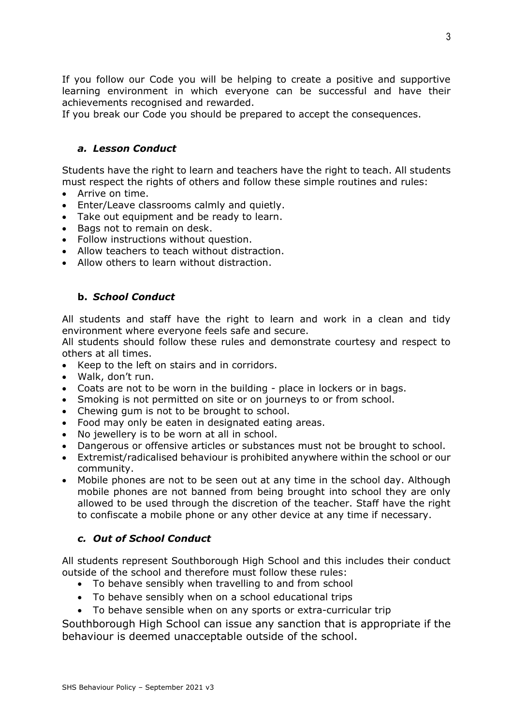If you follow our Code you will be helping to create a positive and supportive learning environment in which everyone can be successful and have their achievements recognised and rewarded.

If you break our Code you should be prepared to accept the consequences.

# *a. Lesson Conduct*

Students have the right to learn and teachers have the right to teach. All students must respect the rights of others and follow these simple routines and rules:

- Arrive on time.
- Enter/Leave classrooms calmly and quietly.
- Take out equipment and be ready to learn.
- Bags not to remain on desk.
- Follow instructions without question.
- Allow teachers to teach without distraction.
- Allow others to learn without distraction.

# **b.** *School Conduct*

All students and staff have the right to learn and work in a clean and tidy environment where everyone feels safe and secure.

All students should follow these rules and demonstrate courtesy and respect to others at all times.

- Keep to the left on stairs and in corridors.
- Walk, don't run.
- Coats are not to be worn in the building place in lockers or in bags.
- Smoking is not permitted on site or on journeys to or from school.
- Chewing gum is not to be brought to school.
- Food may only be eaten in designated eating areas.
- No jewellery is to be worn at all in school.
- Dangerous or offensive articles or substances must not be brought to school.
- Extremist/radicalised behaviour is prohibited anywhere within the school or our community.
- Mobile phones are not to be seen out at any time in the school day. Although mobile phones are not banned from being brought into school they are only allowed to be used through the discretion of the teacher. Staff have the right to confiscate a mobile phone or any other device at any time if necessary.

# *c. Out of School Conduct*

All students represent Southborough High School and this includes their conduct outside of the school and therefore must follow these rules:

- To behave sensibly when travelling to and from school
- To behave sensibly when on a school educational trips
- To behave sensible when on any sports or extra-curricular trip

Southborough High School can issue any sanction that is appropriate if the behaviour is deemed unacceptable outside of the school.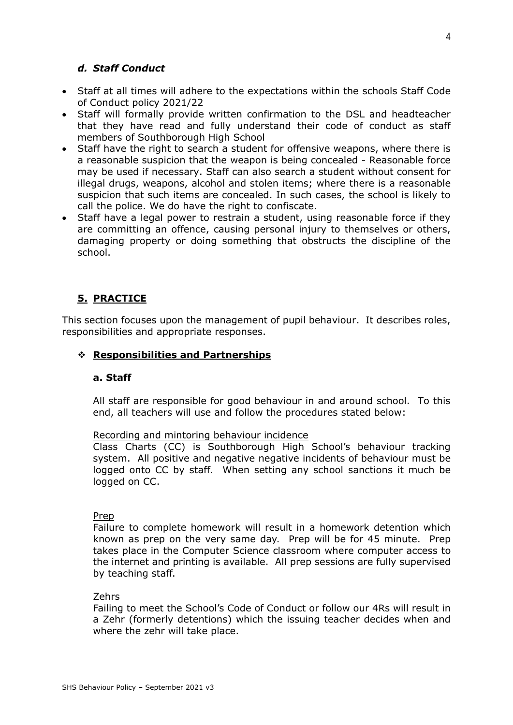# *d. Staff Conduct*

- Staff at all times will adhere to the expectations within the schools Staff Code of Conduct policy 2021/22
- Staff will formally provide written confirmation to the DSL and headteacher that they have read and fully understand their code of conduct as staff members of Southborough High School
- Staff have the right to search a student for offensive weapons, where there is a reasonable suspicion that the weapon is being concealed - Reasonable force may be used if necessary. Staff can also search a student without consent for illegal drugs, weapons, alcohol and stolen items; where there is a reasonable suspicion that such items are concealed. In such cases, the school is likely to call the police. We do have the right to confiscate.
- Staff have a legal power to restrain a student, using reasonable force if they are committing an offence, causing personal injury to themselves or others, damaging property or doing something that obstructs the discipline of the school.

# **5. PRACTICE**

This section focuses upon the management of pupil behaviour. It describes roles, responsibilities and appropriate responses.

#### ❖ **Responsibilities and Partnerships**

#### **a. Staff**

All staff are responsible for good behaviour in and around school. To this end, all teachers will use and follow the procedures stated below:

#### Recording and mintoring behaviour incidence

Class Charts (CC) is Southborough High School's behaviour tracking system. All positive and negative negative incidents of behaviour must be logged onto CC by staff. When setting any school sanctions it much be logged on CC.

#### Prep

Failure to complete homework will result in a homework detention which known as prep on the very same day. Prep will be for 45 minute. Prep takes place in the Computer Science classroom where computer access to the internet and printing is available. All prep sessions are fully supervised by teaching staff.

#### Zehrs

Failing to meet the School's Code of Conduct or follow our 4Rs will result in a Zehr (formerly detentions) which the issuing teacher decides when and where the zehr will take place.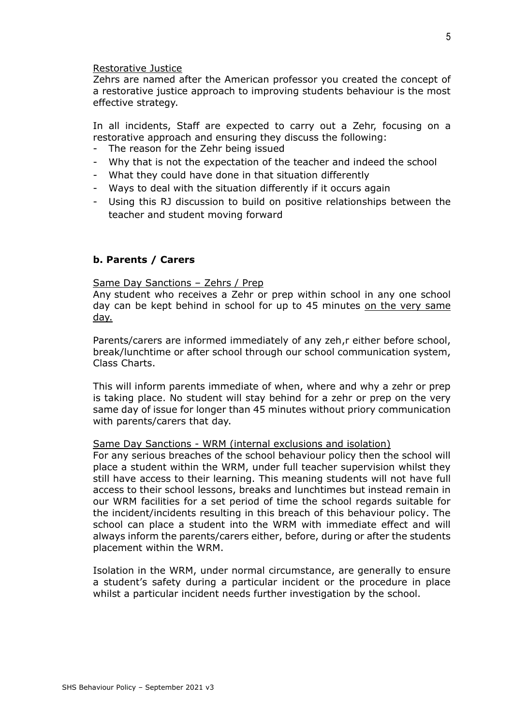Restorative Justice

Zehrs are named after the American professor you created the concept of a restorative justice approach to improving students behaviour is the most effective strategy.

In all incidents, Staff are expected to carry out a Zehr, focusing on a restorative approach and ensuring they discuss the following:

- The reason for the Zehr being issued
- Why that is not the expectation of the teacher and indeed the school
- What they could have done in that situation differently
- Ways to deal with the situation differently if it occurs again
- Using this RJ discussion to build on positive relationships between the teacher and student moving forward

#### **b. Parents / Carers**

#### Same Day Sanctions – Zehrs / Prep

Any student who receives a Zehr or prep within school in any one school day can be kept behind in school for up to 45 minutes on the very same day.

Parents/carers are informed immediately of any zeh,r either before school, break/lunchtime or after school through our school communication system, Class Charts.

This will inform parents immediate of when, where and why a zehr or prep is taking place. No student will stay behind for a zehr or prep on the very same day of issue for longer than 45 minutes without priory communication with parents/carers that day.

#### Same Day Sanctions - WRM (internal exclusions and isolation)

For any serious breaches of the school behaviour policy then the school will place a student within the WRM, under full teacher supervision whilst they still have access to their learning. This meaning students will not have full access to their school lessons, breaks and lunchtimes but instead remain in our WRM facilities for a set period of time the school regards suitable for the incident/incidents resulting in this breach of this behaviour policy. The school can place a student into the WRM with immediate effect and will always inform the parents/carers either, before, during or after the students placement within the WRM.

Isolation in the WRM, under normal circumstance, are generally to ensure a student's safety during a particular incident or the procedure in place whilst a particular incident needs further investigation by the school.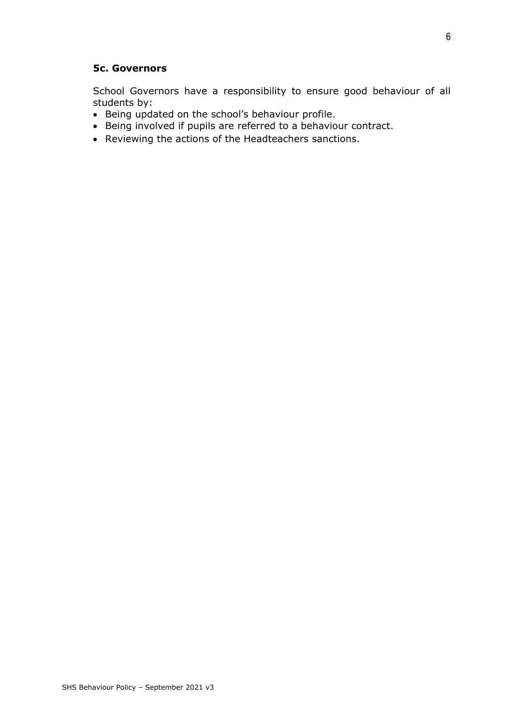#### **5c. Governors**

School Governors have a responsibility to ensure good behaviour of all students by:

- Being updated on the school's behaviour profile.
- Being involved if pupils are referred to a behaviour contract.
- Reviewing the actions of the Headteachers sanctions.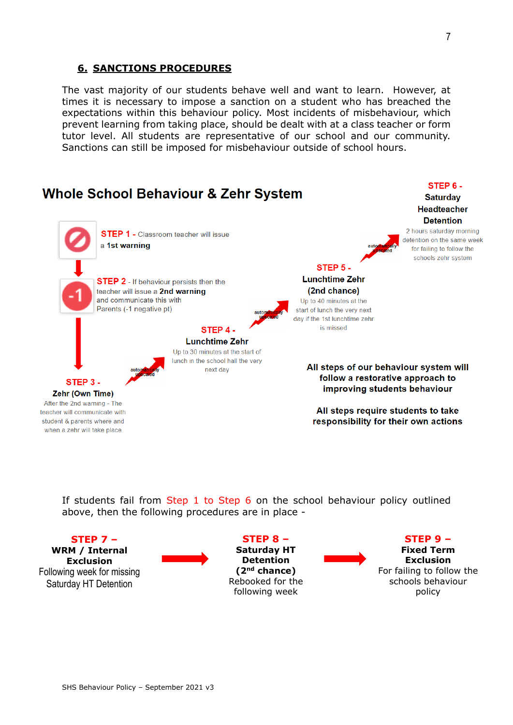# **6. SANCTIONS PROCEDURES**

The vast majority of our students behave well and want to learn. However, at times it is necessary to impose a sanction on a student who has breached the expectations within this behaviour policy. Most incidents of misbehaviour, which prevent learning from taking place, should be dealt with at a class teacher or form tutor level. All students are representative of our school and our community. Sanctions can still be imposed for misbehaviour outside of school hours.



If students fail from Step 1 to Step 6 on the school behaviour policy outlined above, then the following procedures are in place -

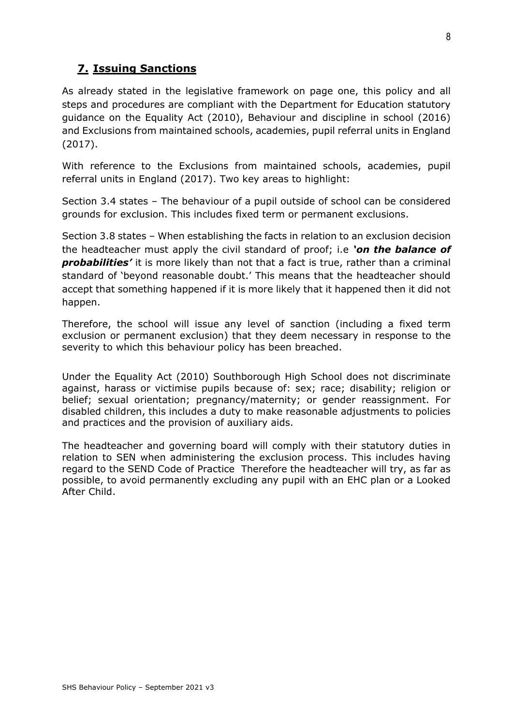# **7. Issuing Sanctions**

As already stated in the legislative framework on page one, this policy and all steps and procedures are compliant with the Department for Education statutory guidance on the Equality Act (2010), Behaviour and discipline in school (2016) and Exclusions from maintained schools, academies, pupil referral units in England (2017).

With reference to the Exclusions from maintained schools, academies, pupil referral units in England (2017). Two key areas to highlight:

Section 3.4 states – The behaviour of a pupil outside of school can be considered grounds for exclusion. This includes fixed term or permanent exclusions.

Section 3.8 states – When establishing the facts in relation to an exclusion decision the headteacher must apply the civil standard of proof; i.e *'on the balance of probabilities'* it is more likely than not that a fact is true, rather than a criminal standard of 'beyond reasonable doubt.' This means that the headteacher should accept that something happened if it is more likely that it happened then it did not happen.

Therefore, the school will issue any level of sanction (including a fixed term exclusion or permanent exclusion) that they deem necessary in response to the severity to which this behaviour policy has been breached.

Under the Equality Act (2010) Southborough High School does not discriminate against, harass or victimise pupils because of: sex; race; disability; religion or belief; sexual orientation; pregnancy/maternity; or gender reassignment. For disabled children, this includes a duty to make reasonable adjustments to policies and practices and the provision of auxiliary aids.

The headteacher and governing board will comply with their statutory duties in relation to SEN when administering the exclusion process. This includes having regard to the SEND Code of Practice Therefore the headteacher will try, as far as possible, to avoid permanently excluding any pupil with an EHC plan or a Looked After Child.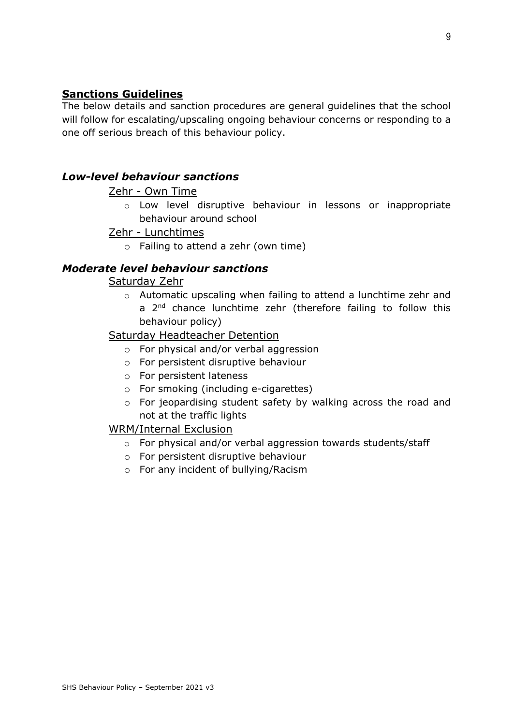# **Sanctions Guidelines**

The below details and sanction procedures are general guidelines that the school will follow for escalating/upscaling ongoing behaviour concerns or responding to a one off serious breach of this behaviour policy.

# *Low-level behaviour sanctions*

### Zehr - Own Time

o Low level disruptive behaviour in lessons or inappropriate behaviour around school

# Zehr - Lunchtimes

o Failing to attend a zehr (own time)

# *Moderate level behaviour sanctions*

Saturday Zehr

o Automatic upscaling when failing to attend a lunchtime zehr and a 2<sup>nd</sup> chance lunchtime zehr (therefore failing to follow this behaviour policy)

### Saturday Headteacher Detention

- o For physical and/or verbal aggression
- o For persistent disruptive behaviour
- o For persistent lateness
- o For smoking (including e-cigarettes)
- o For jeopardising student safety by walking across the road and not at the traffic lights

# WRM/Internal Exclusion

- o For physical and/or verbal aggression towards students/staff
- o For persistent disruptive behaviour
- o For any incident of bullying/Racism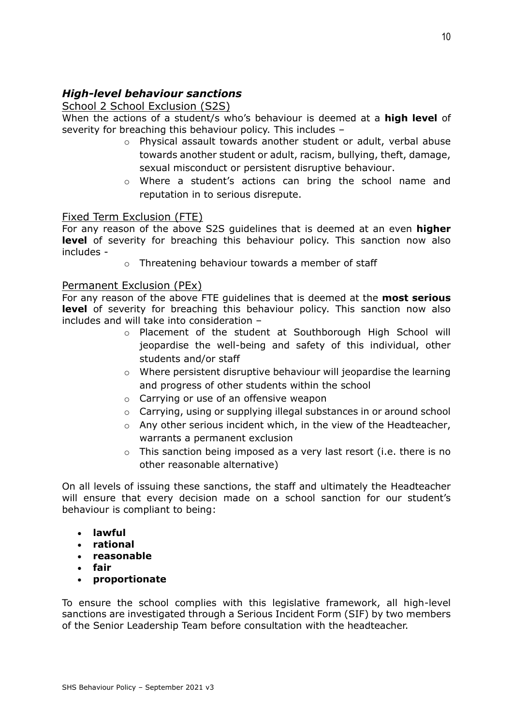# *High-level behaviour sanctions*

# School 2 School Exclusion (S2S)

When the actions of a student/s who's behaviour is deemed at a **high level** of severity for breaching this behaviour policy. This includes –

- o Physical assault towards another student or adult, verbal abuse towards another student or adult, racism, bullying, theft, damage, sexual misconduct or persistent disruptive behaviour.
- o Where a student's actions can bring the school name and reputation in to serious disrepute.

# Fixed Term Exclusion (FTE)

For any reason of the above S2S guidelines that is deemed at an even **higher level** of severity for breaching this behaviour policy. This sanction now also includes -

o Threatening behaviour towards a member of staff

# Permanent Exclusion (PEx)

For any reason of the above FTE guidelines that is deemed at the **most serious level** of severity for breaching this behaviour policy. This sanction now also includes and will take into consideration –

- o Placement of the student at Southborough High School will jeopardise the well-being and safety of this individual, other students and/or staff
- o Where persistent disruptive behaviour will jeopardise the learning and progress of other students within the school
- o Carrying or use of an offensive weapon
- o Carrying, using or supplying illegal substances in or around school
- $\circ$  Any other serious incident which, in the view of the Headteacher, warrants a permanent exclusion
- o This sanction being imposed as a very last resort (i.e. there is no other reasonable alternative)

On all levels of issuing these sanctions, the staff and ultimately the Headteacher will ensure that every decision made on a school sanction for our student's behaviour is compliant to being:

- **lawful**
- **rational**
- **reasonable**
- **fair**
- **proportionate**

To ensure the school complies with this legislative framework, all high-level sanctions are investigated through a Serious Incident Form (SIF) by two members of the Senior Leadership Team before consultation with the headteacher.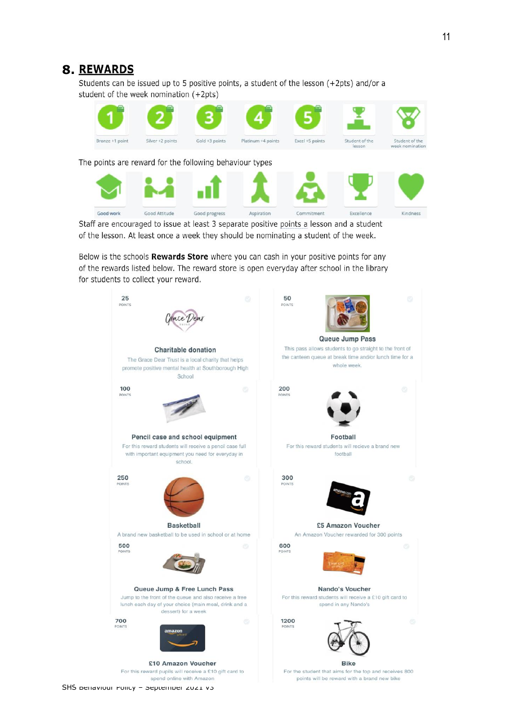# **8.**.

Students can be issued up to 5 positive points, a student of the lesson (+2pts) and/or a student of the week nomination (+2pts)



of the lesson. At least once a week they should be nominating a student of the week.

Below is the schools Rewards Store where you can cash in your positive points for any of the rewards listed below. The reward store is open everyday after school in the library for students to collect your reward.